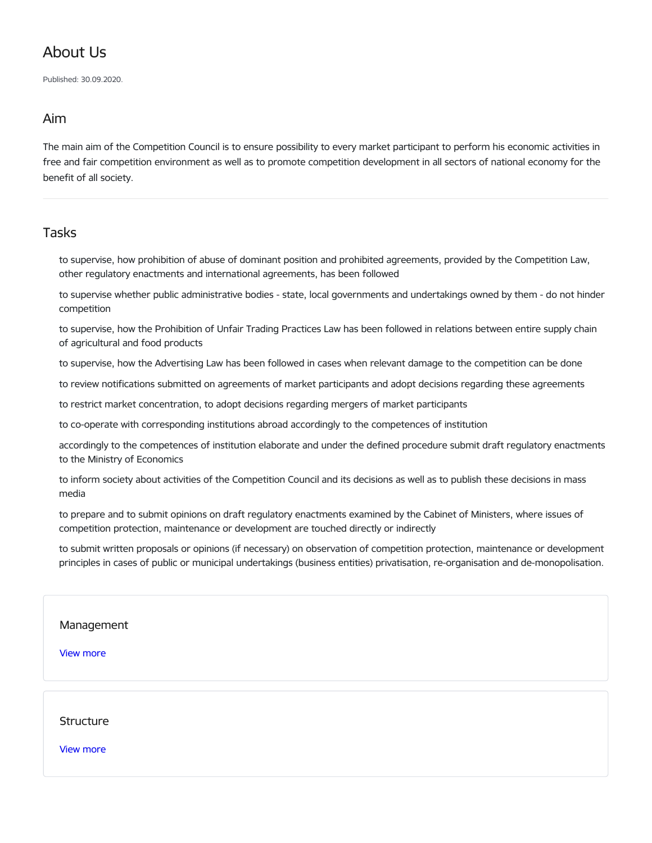## About Us

Published: 30.09.2020.

## Aim

The main aim of the Competition Council is to ensure possibility to every market participant to perform his economic activities in free and fair competition environment as well as to promote competition development in all sectors of national economy for the benefit of all society.

## Tasks

to supervise, how prohibition of abuse of dominant position and prohibited agreements, provided by the Competition Law, other regulatory enactments and international agreements, has been followed

to supervise whether public administrative bodies - state, local governments and undertakings owned by them - do not hinder competition

to supervise, how the Prohibition of Unfair Trading Practices Law has been followed in relations between entire supply chain of agricultural and food products

to supervise, how the Advertising Law has been followed in cases when relevant damage to the competition can be done

to review notifications submitted on agreements of market participants and adopt decisions regarding these agreements

to restrict market concentration, to adopt decisions regarding mergers of market participants

to co-operate with corresponding institutions abroad accordingly to the competences of institution

accordingly to the competences of institution elaborate and under the defined procedure submit draft regulatory enactments to the Ministry of Economics

to inform society about activities of the Competition Council and its decisions as well as to publish these decisions in mass media

to prepare and to submit opinions on draft regulatory enactments examined by the Cabinet of Ministers, where issues of competition protection, maintenance or development are touched directly or indirectly

to submit written proposals or opinions (if necessary) on observation of competition protection, maintenance or development principles in cases of public or municipal undertakings (business entities) privatisation, re-organisation and de-monopolisation.

## [Management](https://www.kp.gov.lv/en/management)

View [more](https://www.kp.gov.lv/en/management)

[Structure](https://www.kp.gov.lv/en/structure)

View [more](https://www.kp.gov.lv/en/structure)